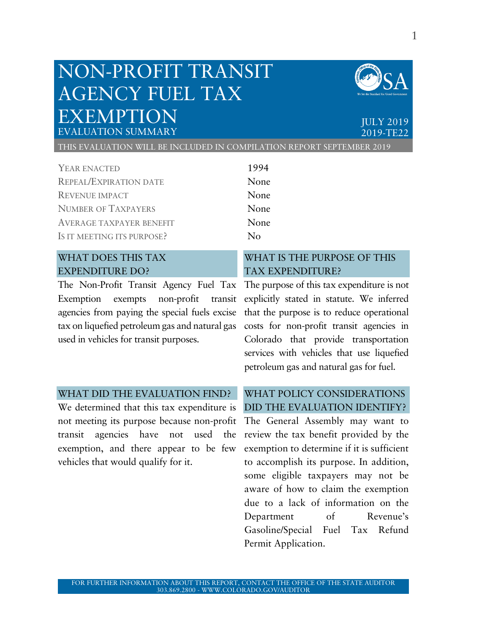# NON-PROFIT TRANSIT AGENCY FUEL TAX EXEMPTION ULY 2019



EVALUATION SUMMARY 2019-TE22

THIS EVALUATION WILL BE INCLUDED IN COMPILATION REPORT SEPTEMBER 2019

YEAR ENACTED 1994 REPEAL/EXPIRATION DATE None REVENUE IMPACT None NUMBER OF TAXPAYERS None AVERAGE TAXPAYER BENEFIT None IS IT MEETING ITS PURPOSE? No

# WHAT DOES THIS TAX EXPENDITURE DO?

Exemption exempts non-profit agencies from paying the special fuels excise tax on liquefied petroleum gas and natural gas used in vehicles for transit purposes.

# WHAT IS THE PURPOSE OF THIS TAX EXPENDITURE?

The Non-Profit Transit Agency Fuel Tax The purpose of this tax expenditure is not explicitly stated in statute. We inferred that the purpose is to reduce operational costs for non-profit transit agencies in Colorado that provide transportation services with vehicles that use liquefied petroleum gas and natural gas for fuel.

#### WHAT DID THE EVALUATION FIND?

We determined that this tax expenditure is not meeting its purpose because non-profit transit agencies have not used the exemption, and there appear to be few vehicles that would qualify for it.

### WHAT POLICY CONSIDERATIONS DID THE EVALUATION IDENTIFY?

The General Assembly may want to review the tax benefit provided by the exemption to determine if it is sufficient to accomplish its purpose. In addition, some eligible taxpayers may not be aware of how to claim the exemption due to a lack of information on the Department of Revenue's Gasoline/Special Fuel Tax Refund Permit Application.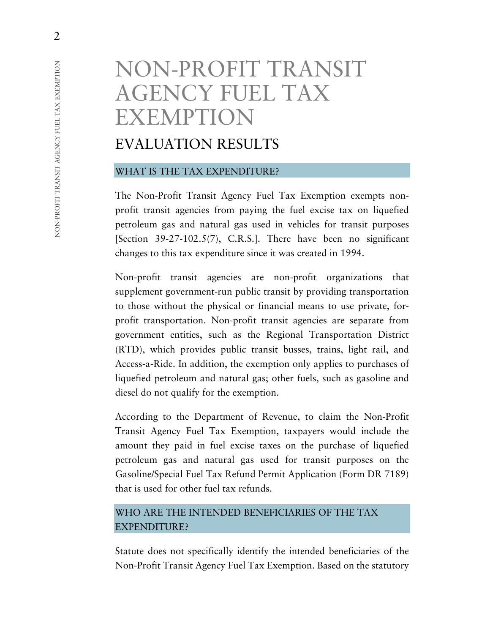# NON-PROFIT TRANSIT AGENCY FUEL TAX EXEMPTION

# EVALUATION RESULTS

#### WHAT IS THE TAX EXPENDITURE?

The Non-Profit Transit Agency Fuel Tax Exemption exempts nonprofit transit agencies from paying the fuel excise tax on liquefied petroleum gas and natural gas used in vehicles for transit purposes [Section 39-27-102.5(7), C.R.S.]. There have been no significant changes to this tax expenditure since it was created in 1994.

Non-profit transit agencies are non-profit organizations that supplement government-run public transit by providing transportation to those without the physical or financial means to use private, forprofit transportation. Non-profit transit agencies are separate from government entities, such as the Regional Transportation District (RTD), which provides public transit busses, trains, light rail, and Access-a-Ride. In addition, the exemption only applies to purchases of liquefied petroleum and natural gas; other fuels, such as gasoline and diesel do not qualify for the exemption.

According to the Department of Revenue, to claim the Non-Profit Transit Agency Fuel Tax Exemption, taxpayers would include the amount they paid in fuel excise taxes on the purchase of liquefied petroleum gas and natural gas used for transit purposes on the Gasoline/Special Fuel Tax Refund Permit Application (Form DR 7189) that is used for other fuel tax refunds.

## WHO ARE THE INTENDED BENEFICIARIES OF THE TAX EXPENDITURE?

Statute does not specifically identify the intended beneficiaries of the Non-Profit Transit Agency Fuel Tax Exemption. Based on the statutory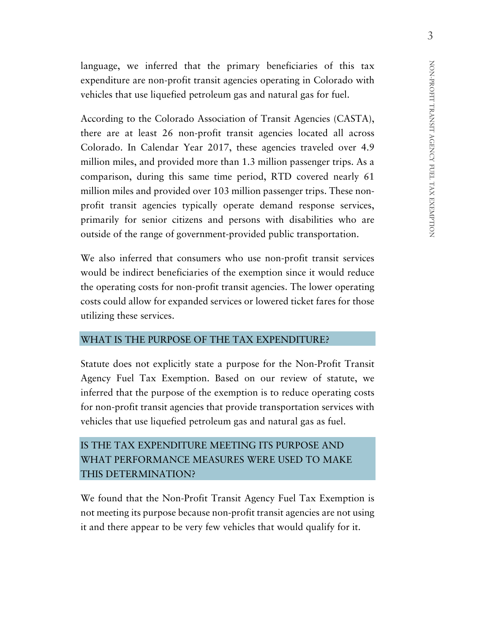language, we inferred that the primary beneficiaries of this tax expenditure are non-profit transit agencies operating in Colorado with vehicles that use liquefied petroleum gas and natural gas for fuel.

According to the Colorado Association of Transit Agencies (CASTA), there are at least 26 non-profit transit agencies located all across Colorado. In Calendar Year 2017, these agencies traveled over 4.9 million miles, and provided more than 1.3 million passenger trips. As a comparison, during this same time period, RTD covered nearly 61 million miles and provided over 103 million passenger trips. These nonprofit transit agencies typically operate demand response services, primarily for senior citizens and persons with disabilities who are outside of the range of government-provided public transportation.

We also inferred that consumers who use non-profit transit services would be indirect beneficiaries of the exemption since it would reduce the operating costs for non-profit transit agencies. The lower operating costs could allow for expanded services or lowered ticket fares for those utilizing these services.

#### WHAT IS THE PURPOSE OF THE TAX EXPENDITURE?

Statute does not explicitly state a purpose for the Non-Profit Transit Agency Fuel Tax Exemption. Based on our review of statute, we inferred that the purpose of the exemption is to reduce operating costs for non-profit transit agencies that provide transportation services with vehicles that use liquefied petroleum gas and natural gas as fuel.

# IS THE TAX EXPENDITURE MEETING ITS PURPOSE AND WHAT PERFORMANCE MEASURES WERE USED TO MAKE THIS DETERMINATION?

We found that the Non-Profit Transit Agency Fuel Tax Exemption is not meeting its purpose because non-profit transit agencies are not using it and there appear to be very few vehicles that would qualify for it.

3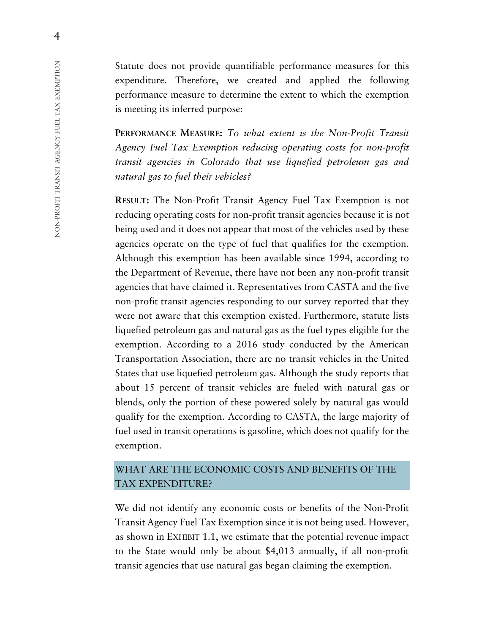Statute does not provide quantifiable performance measures for this expenditure. Therefore, we created and applied the following performance measure to determine the extent to which the exemption is meeting its inferred purpose:

**PERFORMANCE MEASURE:** *To what extent is the Non-Profit Transit Agency Fuel Tax Exemption reducing operating costs for non-profit transit agencies in Colorado that use liquefied petroleum gas and natural gas to fuel their vehicles?*

**RESULT:** The Non-Profit Transit Agency Fuel Tax Exemption is not reducing operating costs for non-profit transit agencies because it is not being used and it does not appear that most of the vehicles used by these agencies operate on the type of fuel that qualifies for the exemption. Although this exemption has been available since 1994, according to the Department of Revenue, there have not been any non-profit transit agencies that have claimed it. Representatives from CASTA and the five non-profit transit agencies responding to our survey reported that they were not aware that this exemption existed. Furthermore, statute lists liquefied petroleum gas and natural gas as the fuel types eligible for the exemption. According to a 2016 study conducted by the American Transportation Association, there are no transit vehicles in the United States that use liquefied petroleum gas. Although the study reports that about 15 percent of transit vehicles are fueled with natural gas or blends, only the portion of these powered solely by natural gas would qualify for the exemption. According to CASTA, the large majority of fuel used in transit operations is gasoline, which does not qualify for the exemption.

### WHAT ARE THE ECONOMIC COSTS AND BENEFITS OF THE TAX EXPENDITURE?

We did not identify any economic costs or benefits of the Non-Profit Transit Agency Fuel Tax Exemption since it is not being used. However, as shown in EXHIBIT 1.1, we estimate that the potential revenue impact to the State would only be about \$4,013 annually, if all non-profit transit agencies that use natural gas began claiming the exemption.

4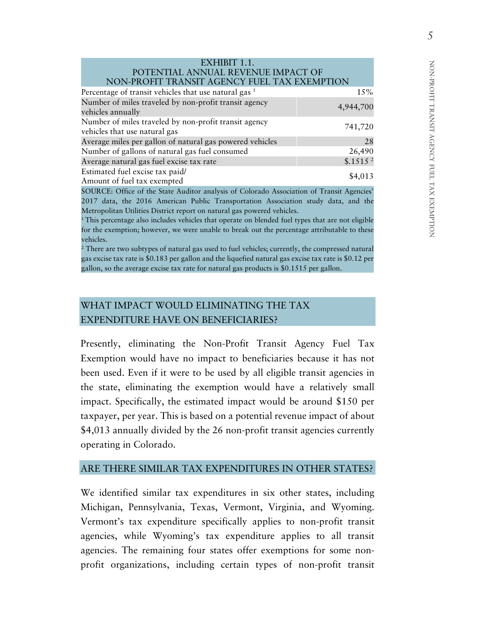| I              |   |
|----------------|---|
| l<br>j         |   |
|                |   |
|                |   |
| I              |   |
| I              |   |
|                |   |
|                |   |
| I              |   |
|                |   |
|                |   |
|                |   |
| l              |   |
| l              |   |
| I              |   |
| l              |   |
| I              |   |
|                |   |
|                |   |
|                |   |
|                |   |
|                |   |
| I              |   |
| I              |   |
|                |   |
|                | ł |
|                | l |
|                |   |
|                |   |
| I              |   |
| $\overline{a}$ |   |
|                |   |
| ו<br>ו         |   |
|                |   |
| j              | l |
|                | l |
|                |   |
| I              |   |
|                |   |
| l              |   |
| I              |   |
|                |   |
| I              |   |
|                |   |

#### EXHIBIT 1.1. POTENTIAL ANNUAL REVENUE IMPACT OF NON-PROFIT TRANSIT AGENCY FUEL TAX EXEMPTION

| Percentage of transit vehicles that use natural gas <sup>1</sup>                       | 15%                  |
|----------------------------------------------------------------------------------------|----------------------|
| Number of miles traveled by non-profit transit agency<br>vehicles annually             | 4,944,700            |
| Number of miles traveled by non-profit transit agency<br>vehicles that use natural gas | 741,720              |
| Average miles per gallon of natural gas powered vehicles                               | 28                   |
| Number of gallons of natural gas fuel consumed                                         | 26,490               |
| Average natural gas fuel excise tax rate                                               | \$.1515 <sup>2</sup> |
| Estimated fuel excise tax paid/<br>Amount of fuel tax exempted                         | \$4,013              |

SOURCE: Office of the State Auditor analysis of Colorado Association of Transit Agencies' 2017 data, the 2016 American Public Transportation Association study data, and the Metropolitan Utilities District report on natural gas powered vehicles.

<sup>1</sup>This percentage also includes vehicles that operate on blended fuel types that are not eligible for the exemption; however, we were unable to break out the percentage attributable to these vehicles.

<sup>2</sup> There are two subtypes of natural gas used to fuel vehicles; currently, the compressed natural gas excise tax rate is \$0.183 per gallon and the liquefied natural gas excise tax rate is \$0.12 per gallon, so the average excise tax rate for natural gas products is \$0.1515 per gallon.

# WHAT IMPACT WOULD ELIMINATING THE TAX EXPENDITURE HAVE ON BENEFICIARIES?

Presently, eliminating the Non-Profit Transit Agency Fuel Tax Exemption would have no impact to beneficiaries because it has not been used. Even if it were to be used by all eligible transit agencies in the state, eliminating the exemption would have a relatively small impact. Specifically, the estimated impact would be around \$150 per taxpayer, per year. This is based on a potential revenue impact of about \$4,013 annually divided by the 26 non-profit transit agencies currently operating in Colorado.

#### ARE THERE SIMILAR TAX EXPENDITURES IN OTHER STATES?

We identified similar tax expenditures in six other states, including Michigan, Pennsylvania, Texas, Vermont, Virginia, and Wyoming. Vermont's tax expenditure specifically applies to non-profit transit agencies, while Wyoming's tax expenditure applies to all transit agencies. The remaining four states offer exemptions for some nonprofit organizations, including certain types of non-profit transit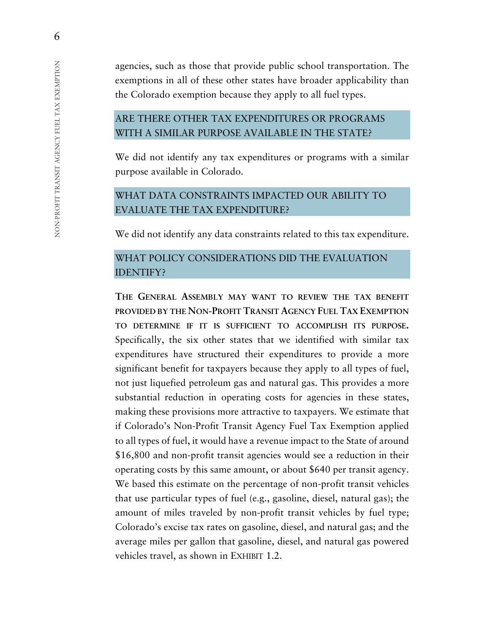agencies, such as those that provide public school transportation. The exemptions in all of these other states have broader applicability than the Colorado exemption because they apply to all fuel types.

# ARE THERE OTHER TAX EXPENDITURES OR PROGRAMS WITH A SIMILAR PURPOSE AVAILABLE IN THE STATE?

We did not identify any tax expenditures or programs with a similar purpose available in Colorado.

# WHAT DATA CONSTRAINTS IMPACTED OUR ABILITY TO EVALUATE THE TAX EXPENDITURE?

We did not identify any data constraints related to this tax expenditure.

# WHAT POLICY CONSIDERATIONS DID THE EVALUATION IDENTIFY?

**THE GENERAL ASSEMBLY MAY WANT TO REVIEW THE TAX BENEFIT PROVIDED BY THE NON-PROFIT TRANSIT AGENCY FUEL TAX EXEMPTION TO DETERMINE IF IT IS SUFFICIENT TO ACCOMPLISH ITS PURPOSE.** Specifically, the six other states that we identified with similar tax expenditures have structured their expenditures to provide a more significant benefit for taxpayers because they apply to all types of fuel, not just liquefied petroleum gas and natural gas. This provides a more substantial reduction in operating costs for agencies in these states, making these provisions more attractive to taxpayers. We estimate that if Colorado's Non-Profit Transit Agency Fuel Tax Exemption applied to all types of fuel, it would have a revenue impact to the State of around \$16,800 and non-profit transit agencies would see a reduction in their operating costs by this same amount, or about \$640 per transit agency. We based this estimate on the percentage of non-profit transit vehicles that use particular types of fuel (e.g., gasoline, diesel, natural gas); the amount of miles traveled by non-profit transit vehicles by fuel type; Colorado's excise tax rates on gasoline, diesel, and natural gas; and the average miles per gallon that gasoline, diesel, and natural gas powered vehicles travel, as shown in EXHIBIT 1.2.